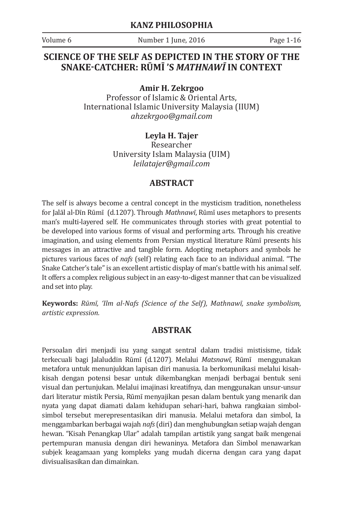Volume 6 **Number 1** June, 2016 **Page 1-16** 

### **SCIENCE OF THE SELF AS DEPICTED IN THE STORY OF THE SNAKE-CATCHER: RŪMĪ 'S** *MATHNAWĪ* **IN CONTEXT**

**Amir H. Zekrgoo**

Professor of Islamic & Oriental Arts, International Islamic University Malaysia (IIUM) *ahzekrgoo@gmail.com*

> **Leyla H. Tajer** Researcher University Islam Malaysia (UIM) *leilatajer@gmail.com*

#### **ABSTRACT**

The self is always become a central concept in the mysticism tradition, nonetheless for Jalāl al-Dīn Rūmī (d.1207). Through *Mathnawī*, Rūmī uses metaphors to presents man's multi-layered self. He communicates through stories with great potential to be developed into various forms of visual and performing arts. Through his creative imagination, and using elements from Persian mystical literature Rūmī presents his messages in an attractive and tangible form. Adopting metaphors and symbols he pictures various faces of *nafs* (self) relating each face to an individual animal. "The Snake Catcher's tale" is an excellent artistic display of man's battle with his animal self. It offers a complex religious subject in an easy-to-digest manner that can be visualized and set into play.

**Keywords:** *Rūmī, 'Ilm al-Nafs (Science of the Self), Mathnawī, snake symbolism, artistic expression.*

#### **ABSTRAK**

Persoalan diri menjadi isu yang sangat sentral dalam tradisi mistisisme, tidak terkecuali bagi Jalaluddin Rūmī (d.1207). Melalui *Matsnawī*, Rūmī menggunakan metafora untuk menunjukkan lapisan diri manusia. Ia berkomunikasi melalui kisahkisah dengan potensi besar untuk dikembangkan menjadi berbagai bentuk seni visual dan pertunjukan. Melalui imajinasi kreatifnya, dan menggunakan unsur-unsur dari literatur mistik Persia, Rūmī menyajikan pesan dalam bentuk yang menarik dan nyata yang dapat diamati dalam kehidupan sehari-hari, bahwa rangkaian simbolsimbol tersebut merepresentasikan diri manusia. Melalui metafora dan simbol, Ia menggambarkan berbagai wajah *nafs* (diri) dan menghubungkan setiap wajah dengan hewan. "Kisah Penangkap Ular" adalah tampilan artistik yang sangat baik mengenai pertempuran manusia dengan diri hewaninya. Metafora dan Simbol menawarkan subjek keagamaan yang kompleks yang mudah dicerna dengan cara yang dapat divisualisasikan dan dimainkan.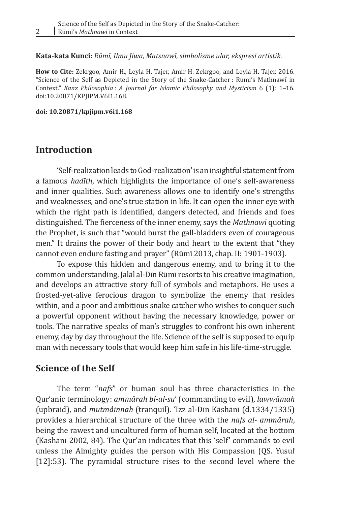**Kata-kata Kunci:** *Rūmī, Ilmu Jiwa, Matsnawī, simbolisme ular, ekspresi artistik.*

**How to Cite:** Zekrgoo, Amir H., Leyla H. Tajer, Amir H. Zekrgoo, and Leyla H. Tajer. 2016. "Science of the Self as Depicted in the Story of the Snake-Catcher : Rumi's Mathnawī in Context." *Kanz Philosophia : A Journal for Islamic Philosophy and Mysticism* 6 (1): 1–16. doi:10.20871/KPJIPM.V6I1.168.

**doi: 10.20871/kpjipm.v6i1.168**

#### **Introduction**

2

'Self-realization leads to God-realization' is an insightful statement from a famous *hadīth*, which highlights the importance of one's self-awareness and inner qualities. Such awareness allows one to identify one's strengths and weaknesses, and one's true station in life. It can open the inner eye with which the right path is identified, dangers detected, and friends and foes distinguished. The fierceness of the inner enemy, says the *Mathnawī* quoting the Prophet, is such that "would burst the gall-bladders even of courageous men." It drains the power of their body and heart to the extent that "they cannot even endure fasting and prayer" (Rūmī 2013, chap. II: 1901-1903).

To expose this hidden and dangerous enemy, and to bring it to the common understanding, Jalāl al-Dī�n Rūmī� resorts to his creative imagination, and develops an attractive story full of symbols and metaphors. He uses a frosted-yet-alive ferocious dragon to symbolize the enemy that resides within, and a poor and ambitious snake catcher who wishes to conquer such a powerful opponent without having the necessary knowledge, power or tools. The narrative speaks of man's struggles to confront his own inherent enemy, day by day throughout the life. Science of the self is supposed to equip man with necessary tools that would keep him safe in his life-time-struggle.

#### **Science of the Self**

The term "*nafs*" or human soul has three characteristics in the Qur'anic terminology: *ammārah bi-al-su*' (commanding to evil), *lawwāmah*  (upbraid), and *mutmaʾinnah* (tranquil). ʿIzz al-Dī�n Kāshānī� (d.1334/1335) provides a hierarchical structure of the three with the *nafs al- ammārah*, being the rawest and uncultured form of human self, located at the bottom (Kashānī 2002, 84). The Qur'an indicates that this 'self' commands to evil unless the Almighty guides the person with His Compassion (QS. Yusuf [12]:53). The pyramidal structure rises to the second level where the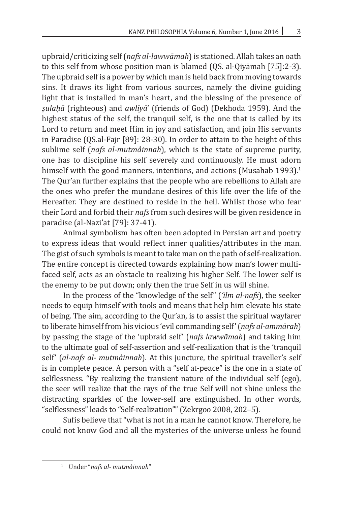upbraid/criticizing self (*nafs al-lawwāmah*) is stationed. Allah takes an oath to this self from whose position man is blamed (QS. al-Qiyāmah [75]:2-3). The upbraid self is a power by which man is held back from moving towards sins. It draws its light from various sources, namely the divine guiding light that is installed in man's heart, and the blessing of the presence of *ṣulaḥā* (righteous) and *awlīyā*' (friends of God) (Dekhoda 1959). And the highest status of the self, the tranquil self, is the one that is called by its Lord to return and meet Him in joy and satisfaction, and join His servants in Paradise (QS.al-Fajr [89]: 28-30). In order to attain to the height of this sublime self (*nafs al-mutmaʾinnah*), which is the state of supreme purity, one has to discipline his self severely and continuously. He must adorn himself with the good manners, intentions, and actions (Musahab 1993).<sup>1</sup> The Qur'an further explains that the people who are rebellions to Allah are the ones who prefer the mundane desires of this life over the life of the Hereafter. They are destined to reside in the hell. Whilst those who fear their Lord and forbid their *nafs* from such desires will be given residence in paradise (al-Nazi'at [79]: 37-41).

Animal symbolism has often been adopted in Persian art and poetry to express ideas that would reflect inner qualities/attributes in the man. The gist of such symbols is meant to take man on the path of self-realization. The entire concept is directed towards explaining how man's lower multifaced self, acts as an obstacle to realizing his higher Self. The lower self is the enemy to be put down; only then the true Self in us will shine.

In the process of the "knowledge of the self" (*'ilm al-nafs*), the seeker needs to equip himself with tools and means that help him elevate his state of being. The aim, according to the Qur'an, is to assist the spiritual wayfarer to liberate himself from his vicious 'evil commanding self' (*nafs al-ammārah*) by passing the stage of the 'upbraid self' (*nafs lawwāmah*) and taking him to the ultimate goal of self-assertion and self-realization that is the 'tranquil self' (*al-nafs al- mutmaʾinnah*). At this juncture, the spiritual traveller's self is in complete peace. A person with a "self at-peace" is the one in a state of selflessness. "By realizing the transient nature of the individual self (ego), the seer will realize that the rays of the true Self will not shine unless the distracting sparkles of the lower-self are extinguished. In other words, "selflessness" leads to "Self-realization"" (Zekrgoo 2008, 202–5).

Sufis believe that "what is not in a man he cannot know. Therefore, he could not know God and all the mysteries of the universe unless he found

<sup>&</sup>lt;sup>1</sup> Under "nafs al- mutmàinnah"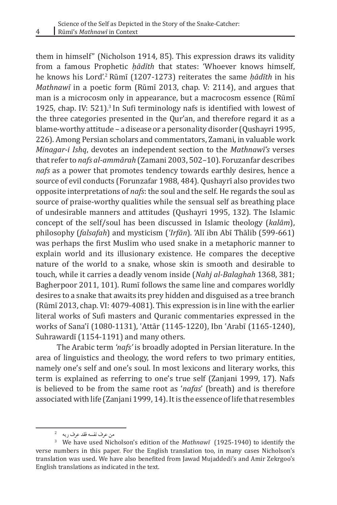$\frac{4}{1}$ 

them in himself" (Nicholson 1914, 85). This expression draws its validity from a famous Prophetic *ḥādīth* that states: 'Whoever knows himself, he knows his Lord'.<sup>2</sup> Rūmī� (1207-1273) reiterates the same *ḥādīth* in his *Mathnawī* in a poetic form (Rūmī� 2013, chap. V: 2114), and argues that man is a microcosm only in appearance, but a macrocosm essence (Rūmī 1925, chap. IV: 521).<sup>3</sup> In Sufi terminology nafs is identified with lowest of the three categories presented in the Qur'an, and therefore regard it as a blame-worthy attitude – a disease or a personality disorder (Qushayri 1995, 226). Among Persian scholars and commentators, Zamani, in valuable work *Minagar-i Ishq*, devotes an independent section to the *Mathnawī's* verses that refer to *nafs al-ammārah* (Zamani 2003, 502–10). Foruzanfar describes *nafs* as a power that promotes tendency towards earthly desires, hence a source of evil conducts (Forunzafar 1988, 484). Qushayrī also provides two opposite interpretations of *nafs*: the soul and the self. He regards the soul as source of praise-worthy qualities while the sensual self as breathing place of undesirable manners and attitudes (Qushayri 1995, 132). The Islamic concept of the self/soul has been discussed in Islamic theology (*kalām*), philosophy (*falsafah*) and mysticism (*ʿIrfān*). 'Alī� ibn Abī� Thālib (599-661) was perhaps the first Muslim who used snake in a metaphoric manner to explain world and its illusionary existence. He compares the deceptive nature of the world to a snake, whose skin is smooth and desirable to touch, while it carries a deadly venom inside (*Nahj al-Balaghah* 1368, 381; Bagherpoor 2011, 101). Rumī follows the same line and compares worldly desires to a snake that awaits its prey hidden and disguised as a tree branch (Rūmī 2013, chap. VI: 4079-4081). This expression is in line with the earlier literal works of Sufi masters and Quranic commentaries expressed in the works of Sana'ī (1080-1131), 'Attār (1145-1220), Ibn 'Arabī (1165-1240), Suhrawardī (1154-1191) and many others.

The Arabic term *'nafs'* is broadly adopted in Persian literature. In the area of linguistics and theology, the word refers to two primary entities, namely one's self and one's soul. In most lexicons and literary works, this term is explained as referring to one's true self (Zanjani 1999, 17). Nafs is believed to be from the same root as '*nafas*' (breath) and is therefore associated with life (Zanjani 1999, 14). It is the essence of life that resembles

من عرف نفسه فقد عرف ربه

<sup>3</sup> We have used Nicholson's edition of the *Mathnawī* (1925-1940) to identify the verse numbers in this paper. For the English translation too, in many cases Nicholson's translation was used. We have also benefited from Jawad Mujaddedi's and Amir Zekrgoo's English translations as indicated in the text.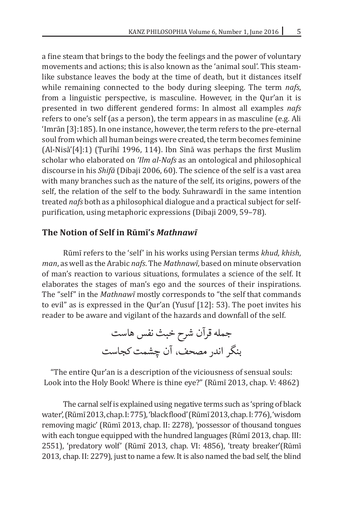a fine steam that brings to the body the feelings and the power of voluntary movements and actions; this is also known as the 'animal soul'. This steamlike substance leaves the body at the time of death, but it distances itself while remaining connected to the body during sleeping. The term *nafs*, from a linguistic perspective, is masculine. However, in the Qur'an it is presented in two different gendered forms: In almost all examples *nafs*  refers to one's self (as a person), the term appears in as masculine (e.g. Ali 'Imrān [3]:185). In one instance, however, the term refers to the pre-eternal soul from which all human beings were created, the term becomes feminine  $(Al-Nisā' [4]:1)$  (Turīhī 1996, 114). Ibn Sinā was perhaps the first Muslim scholar who elaborated on *'Ilm al-Nafs* as an ontological and philosophical discourse in his *Shifā* (Dibaji 2006, 60). The science of the self is a vast area with many branches such as the nature of the self, its origins, powers of the self, the relation of the self to the body. Suhrawardi in the same intention treated *nafs* both as a philosophical dialogue and a practical subject for selfpurification, using metaphoric expressions (Dibaji 2009, 59–78).

#### **The Notion of Self in Rūmī's** *Mathnawī*

Rūmī� refers to the 'self' in his works using Persian terms *khud*, *khish*, *man*, as well as the Arabic *nafs*. The *Mathnawī*, based on minute observation of man's reaction to various situations, formulates a science of the self. It elaborates the stages of man's ego and the sources of their inspirations. The "self" in the *Mathnawī* mostly corresponds to "the self that commands to evil" as is expressed in the Qur'an (Yusuf [12]: 53). The poet invites his reader to be aware and vigilant of the hazards and downfall of the self.

> جمله قرآن شرح خبث نفس هاست بنگر اندر مصحف، آن چشمت کجاست

"The entire Qur'an is a description of the viciousness of sensual souls: Look into the Holy Book! Where is thine eye?" (Rūmī 2013, chap. V: 4862)

The carnal self is explained using negative terms such as 'spring of black water', (Rūmī 2013, chap. I: 775), 'black flood' (Rūmī 2013, chap. I: 776), 'wisdom removing magic' (Rūmī 2013, chap. II: 2278), 'possessor of thousand tongues with each tongue equipped with the hundred languages (Rūmī 2013, chap. III: 2551), 'predatory wolf' (Rūmī 2013, chap. VI: 4856), 'treaty breaker'(Rūmī 2013, chap. II: 2279), just to name a few. It is also named the bad self, the blind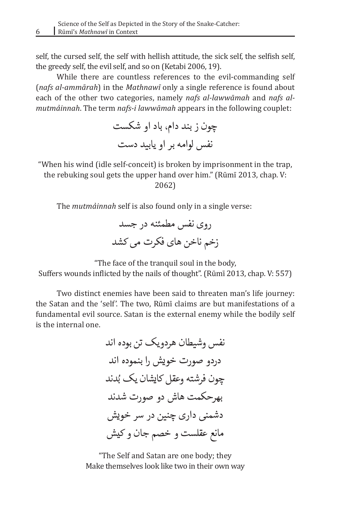self, the cursed self, the self with hellish attitude, the sick self, the selfish self, the greedy self, the evil self, and so on (Ketabi 2006, 19).

While there are countless references to the evil-commanding self (*nafs al-ammārah*) in the *Mathnawī* only a single reference is found about each of the other two categories, namely *nafs al-lawwāmah* and *nafs almutmaʾinnah*. The term *nafs-i lawwāmah* appears in the following couplet:

> چون ز بند دام، باد او شکست نفس لوامه بر او یابید دست

"When his wind (idle self-conceit) is broken by imprisonment in the trap, the rebuking soul gets the upper hand over him." (Rūmī 2013, chap. V:

2062)

The *mutmaʾinnah* self is also found only in a single verse:

روی نفس مطمئنه در جسد زخم ناخن های فکرت می کشد

"The face of the tranquil soul in the body, Suffers wounds inflicted by the nails of thought". (Rūmī 2013, chap. V: 557)

Two distinct enemies have been said to threaten man's life journey: the Satan and the 'self'. The two, Rūmī claims are but manifestations of a fundamental evil source. Satan is the external enemy while the bodily self is the internal one.

> نفس وشیطان هردویک تن بوده اند دردو صورت خویش را بنموده اند چون فرشته وعقل کایشان یک بُدند بهرحکمت هاش دو صورت شدند دشمنی داری چنین در سر خویش مانع عقلست و خصم جان و کیش

"The Self and Satan are one body; they Make themselves look like two in their own way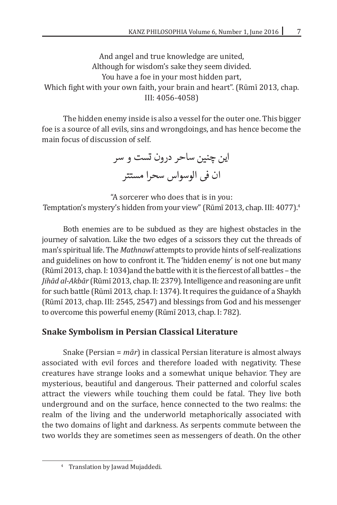And angel and true knowledge are united, Although for wisdom's sake they seem divided. You have a foe in your most hidden part, Which fight with your own faith, your brain and heart". (Rūmī 2013, chap. III: 4056-4058)

The hidden enemy inside is also a vessel for the outer one. This bigger foe is a source of all evils, sins and wrongdoings, and has hence become the main focus of discussion of self.

این چنین ساحر درون تست و سر ان فی الوسواس سحرا مستتر

"A sorcerer who does that is in you: Temptation's mystery's hidden from your view" (Rūmī 2013, chap. III: 4077).<sup>4</sup>

Both enemies are to be subdued as they are highest obstacles in the journey of salvation. Like the two edges of a scissors they cut the threads of man's spiritual life. The *Mathnawī* attempts to provide hints of self-realizations and guidelines on how to confront it. The 'hidden enemy' is not one but many (Rūmī 2013, chap. I: 1034) and the battle with it is the fiercest of all battles – the *Jihād al-Akbār* (Rūmī 2013, chap. II: 2379). Intelligence and reasoning are unfit for such battle (Rūmī� 2013, chap. I: 1374). It requires the guidance of a Shaykh (Rūmī 2013, chap. III: 2545, 2547) and blessings from God and his messenger to overcome this powerful enemy (Rūmī 2013, chap. I: 782).

## **Snake Symbolism in Persian Classical Literature**

Snake (Persian = *mār*) in classical Persian literature is almost always associated with evil forces and therefore loaded with negativity. These creatures have strange looks and a somewhat unique behavior. They are mysterious, beautiful and dangerous. Their patterned and colorful scales attract the viewers while touching them could be fatal. They live both underground and on the surface, hence connected to the two realms: the realm of the living and the underworld metaphorically associated with the two domains of light and darkness. As serpents commute between the two worlds they are sometimes seen as messengers of death. On the other

<sup>4</sup> Translation by Jawad Mujaddedi.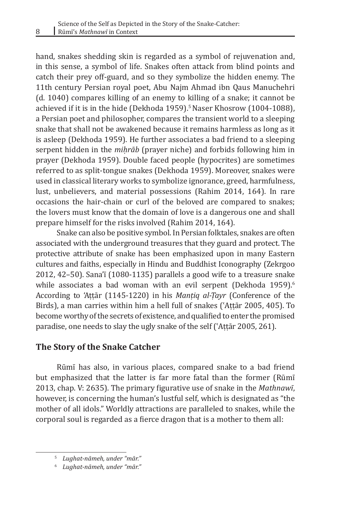hand, snakes shedding skin is regarded as a symbol of rejuvenation and, in this sense, a symbol of life. Snakes often attack from blind points and catch their prey off-guard, and so they symbolize the hidden enemy. The 11th century Persian royal poet, Abu Najm Ahmad ibn Qaus Manuchehri (d. 1040) compares killing of an enemy to killing of a snake; it cannot be achieved if it is in the hide (Dekhoda 1959).<sup>5</sup> Naser Khosrow (1004-1088), a Persian poet and philosopher, compares the transient world to a sleeping snake that shall not be awakened because it remains harmless as long as it is asleep (Dekhoda 1959). He further associates a bad friend to a sleeping serpent hidden in the *miḥrāb* (prayer niche) and forbids following him in prayer (Dekhoda 1959). Double faced people (hypocrites) are sometimes referred to as split-tongue snakes (Dekhoda 1959). Moreover, snakes were used in classical literary works to symbolize ignorance, greed, harmfulness, lust, unbelievers, and material possessions (Rahim 2014, 164). In rare occasions the hair-chain or curl of the beloved are compared to snakes; the lovers must know that the domain of love is a dangerous one and shall prepare himself for the risks involved (Rahim 2014, 164).

Snake can also be positive symbol. In Persian folktales, snakes are often associated with the underground treasures that they guard and protect. The protective attribute of snake has been emphasized upon in many Eastern cultures and faiths, especially in Hindu and Buddhist Iconography (Zekrgoo 2012, 42–50). Sana'ī  $(1080-1135)$  parallels a good wife to a treasure snake while associates a bad woman with an evil serpent (Dekhoda 1959).<sup>6</sup> According to 'Aṭṭār (1145-1220) in his *Manṭiq al-Ṭayr* (Conference of the Birds), a man carries within him a hell full of snakes (ʿAṭṭār 2005, 405). To become worthy of the secrets of existence, and qualified to enter the promised paradise, one needs to slay the ugly snake of the self (ʿAṭṭār 2005, 261).

## **The Story of the Snake Catcher**

Rūmī has also, in various places, compared snake to a bad friend but emphasized that the latter is far more fatal than the former (Rūmī 2013, chap. V: 2635). The primary figurative use of snake in the *Mathnawī*, however, is concerning the human's lustful self, which is designated as "the mother of all idols." Worldly attractions are paralleled to snakes, while the corporal soul is regarded as a fierce dragon that is a mother to them all:

8

<sup>5</sup> *Lughat-nāmeh, under "mār."*

<sup>6</sup> *Lughat-nāmeh, under "mār."*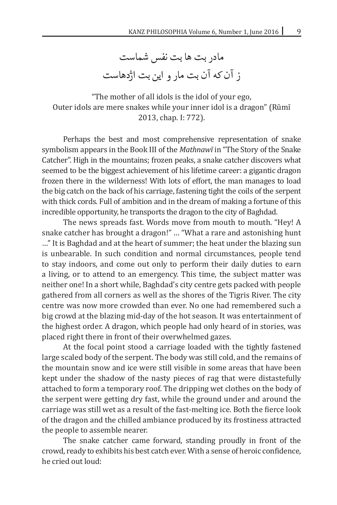مادر بت ها بت نفس شماست ز آن که آن بت مار و این بت اژدهاست

"The mother of all idols is the idol of your ego, Outer idols are mere snakes while your inner idol is a dragon" (Rūmī� 2013, chap. I: 772).

Perhaps the best and most comprehensive representation of snake symbolism appears in the Book III of the *Mathnawī* in "The Story of the Snake Catcher". High in the mountains; frozen peaks, a snake catcher discovers what seemed to be the biggest achievement of his lifetime career: a gigantic dragon frozen there in the wilderness! With lots of effort, the man manages to load the big catch on the back of his carriage, fastening tight the coils of the serpent with thick cords. Full of ambition and in the dream of making a fortune of this incredible opportunity, he transports the dragon to the city of Baghdad.

The news spreads fast. Words move from mouth to mouth. "Hey! A snake catcher has brought a dragon!" … "What a rare and astonishing hunt …" It is Baghdad and at the heart of summer; the heat under the blazing sun is unbearable. In such condition and normal circumstances, people tend to stay indoors, and come out only to perform their daily duties to earn a living, or to attend to an emergency. This time, the subject matter was neither one! In a short while, Baghdad's city centre gets packed with people gathered from all corners as well as the shores of the Tigris River. The city centre was now more crowded than ever. No one had remembered such a big crowd at the blazing mid-day of the hot season. It was entertainment of the highest order. A dragon, which people had only heard of in stories, was placed right there in front of their overwhelmed gazes.

At the focal point stood a carriage loaded with the tightly fastened large scaled body of the serpent. The body was still cold, and the remains of the mountain snow and ice were still visible in some areas that have been kept under the shadow of the nasty pieces of rag that were distastefully attached to form a temporary roof. The dripping wet clothes on the body of the serpent were getting dry fast, while the ground under and around the carriage was still wet as a result of the fast-melting ice. Both the fierce look of the dragon and the chilled ambiance produced by its frostiness attracted the people to assemble nearer.

The snake catcher came forward, standing proudly in front of the crowd, ready to exhibits his best catch ever. With a sense of heroic confidence, he cried out loud: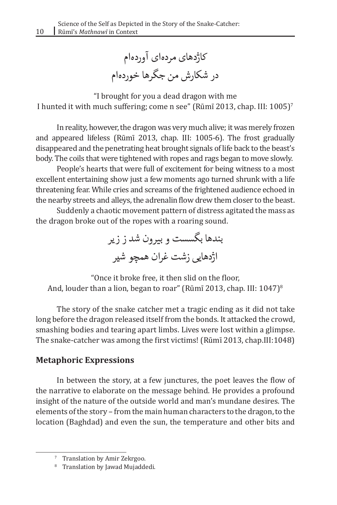کاژدهای مردهای آوردهام در شکارش من جگرها خوردهام

"I brought for you a dead dragon with me I hunted it with much suffering; come n see" (Rūmī 2013, chap. III: 1005)<sup>7</sup>

In reality, however, the dragon was very much alive; it was merely frozen and appeared lifeless (Rūmī 2013, chap. III: 1005-6). The frost gradually disappeared and the penetrating heat brought signals of life back to the beast's body. The coils that were tightened with ropes and rags began to move slowly.

People's hearts that were full of excitement for being witness to a most excellent entertaining show just a few moments ago turned shrunk with a life threatening fear. While cries and screams of the frightened audience echoed in the nearby streets and alleys, the adrenalin flow drew them closer to the beast.

Suddenly a chaotic movement pattern of distress agitated the mass as the dragon broke out of the ropes with a roaring sound.

> بندها بگسست و بیرون شد ز زیر اژدهایی زشت غران همچو شیر

"Once it broke free, it then slid on the floor, And, louder than a lion, began to roar" (Rūmī 2013, chap. III:  $1047$ )<sup>8</sup>

The story of the snake catcher met a tragic ending as it did not take long before the dragon released itself from the bonds. It attacked the crowd, smashing bodies and tearing apart limbs. Lives were lost within a glimpse. The snake-catcher was among the first victims! (Rūmī� 2013, chap.III:1048)

## **Metaphoric Expressions**

In between the story, at a few junctures, the poet leaves the flow of the narrative to elaborate on the message behind. He provides a profound insight of the nature of the outside world and man's mundane desires. The elements of the story – from the main human characters to the dragon, to the location (Baghdad) and even the sun, the temperature and other bits and

<sup>7</sup> Translation by Amir Zekrgoo.

<sup>&</sup>lt;sup>8</sup> Translation by Jawad Mujaddedi.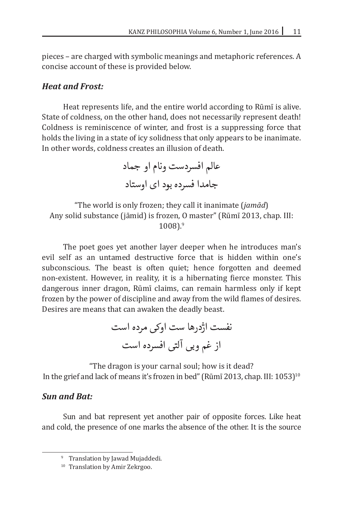pieces – are charged with symbolic meanings and metaphoric references. A concise account of these is provided below.

## *Heat and Frost:*

Heat represents life, and the entire world according to Rūmī is alive. State of coldness, on the other hand, does not necessarily represent death! Coldness is reminiscence of winter, and frost is a suppressing force that holds the living in a state of icy solidness that only appears to be inanimate. In other words, coldness creates an illusion of death.

> عالم افسردست ونام او جماد جامدا فسرده بود ای اوستاد

"The world is only frozen; they call it inanimate (*jamād*) Any solid substance (jāmid) is frozen, O master" (Rūmī 2013, chap. III: 1008).<sup>9</sup>

The poet goes yet another layer deeper when he introduces man's evil self as an untamed destructive force that is hidden within one's subconscious. The beast is often quiet; hence forgotten and deemed non-existent. However, in reality, it is a hibernating fierce monster. This dangerous inner dragon, Rūmī claims, can remain harmless only if kept frozen by the power of discipline and away from the wild flames of desires. Desires are means that can awaken the deadly beast.

نفست اژدرها ست اوکی مرده است از غم وبی آلتی افسرده است

"The dragon is your carnal soul; how is it dead? In the grief and lack of means it's frozen in bed" (Rūmī 2013, chap. III: 1053)<sup>10</sup>

## *Sun and Bat:*

Sun and bat represent yet another pair of opposite forces. Like heat and cold, the presence of one marks the absence of the other. It is the source

<sup>&</sup>lt;sup>9</sup> Translation by Jawad Mujaddedi.

<sup>&</sup>lt;sup>10</sup> Translation by Amir Zekrgoo.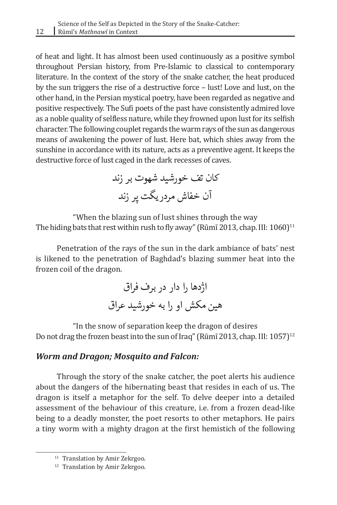of heat and light. It has almost been used continuously as a positive symbol throughout Persian history, from Pre-Islamic to classical to contemporary literature. In the context of the story of the snake catcher, the heat produced by the sun triggers the rise of a destructive force – lust! Love and lust, on the other hand, in the Persian mystical poetry, have been regarded as negative and positive respectively. The Sufi poets of the past have consistently admired love as a noble quality of selfless nature, while they frowned upon lust for its selfish character. The following couplet regards the warm rays of the sun as dangerous means of awakening the power of lust. Here bat, which shies away from the sunshine in accordance with its nature, acts as a preventive agent. It keeps the destructive force of lust caged in the dark recesses of caves.

> کان تف خورشید شهوت بر زند آن خفاش مردریگت پر زند

"When the blazing sun of lust shines through the way The hiding bats that rest within rush to fly away" (Rūmī 2013, chap. III:  $1060$ )<sup>11</sup>

Penetration of the rays of the sun in the dark ambiance of bats' nest is likened to the penetration of Baghdad's blazing summer heat into the frozen coil of the dragon.

> اژدها را دار در برف فراق هین مکش او را به خورشید عراق

"In the snow of separation keep the dragon of desires Do not drag the frozen beast into the sun of Iraq" (Rūmī 2013, chap. III: 1057)<sup>12</sup>

## *Worm and Dragon; Mosquito and Falcon:*

Through the story of the snake catcher, the poet alerts his audience about the dangers of the hibernating beast that resides in each of us. The dragon is itself a metaphor for the self. To delve deeper into a detailed assessment of the behaviour of this creature, i.e. from a frozen dead-like being to a deadly monster, the poet resorts to other metaphors. He pairs a tiny worm with a mighty dragon at the first hemistich of the following

<sup>&</sup>lt;sup>11</sup> Translation by Amir Zekrgoo.

<sup>&</sup>lt;sup>12</sup> Translation by Amir Zekrgoo.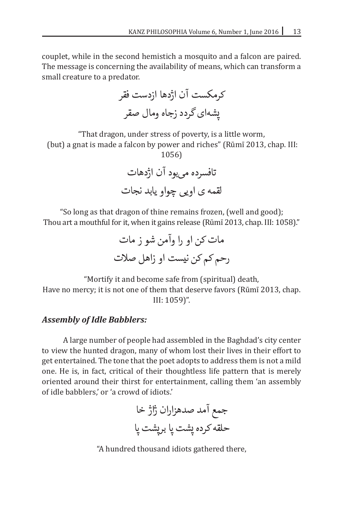couplet, while in the second hemistich a mosquito and a falcon are paired. The message is concerning the availability of means, which can transform a small creature to a predator.

کرمکست آن اژدها ازدست فقر پشهای گردد زجاه ومال صقر

"That dragon, under stress of poverty, is a little worm,

(but) a gnat is made a falcon by power and riches" (Rūmī 2013, chap. III: 1056)

> تافسرده میبود آن اژدهات لقمه ی اویی چواو یابد نجات

"So long as that dragon of thine remains frozen, (well and good); Thou art a mouthful for it, when it gains release (Rūmī 2013, chap. III: 1058)."

مات کن او را وآمن شو ز مات رحم کم کن نیست او زاهل صالت

"Mortify it and become safe from (spiritual) death, Have no mercy; it is not one of them that deserve favors (Rūmī 2013, chap. III: 1059)".

#### *Assembly of Idle Babblers:*

A large number of people had assembled in the Baghdad's city center to view the hunted dragon, many of whom lost their lives in their effort to get entertained. The tone that the poet adopts to address them is not a mild one. He is, in fact, critical of their thoughtless life pattern that is merely oriented around their thirst for entertainment, calling them 'an assembly of idle babblers,' or 'a crowd of idiots.'

جمع آمد صدهزاران ژاژ خا حلقه کرده پشت پا برپشت پا

"A hundred thousand idiots gathered there,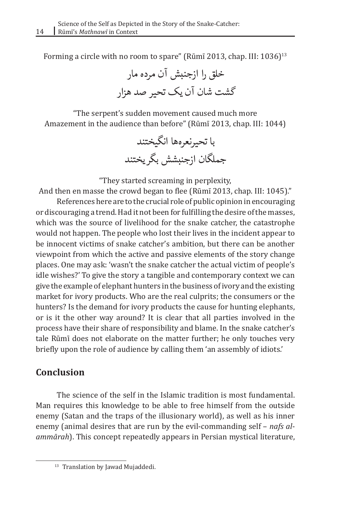Forming a circle with no room to spare" (Rūmī 2013, chap. III: 1036)<sup>13</sup>

خلق را ازجنبش آن مرده مار گشت شان آن یک تحیر صد هزار

"The serpent's sudden movement caused much more Amazement in the audience than before" (Rūmī 2013, chap. III: 1044)

> با تحیرنعرهها انگیختند جملگان ازجنبشش بگریختند

"They started screaming in perplexity,

And then en masse the crowd began to flee (Rūmī 2013, chap. III: 1045)."

References here are to the crucial role of public opinion in encouraging or discouraging a trend. Had it not been for fulfilling the desire of the masses, which was the source of livelihood for the snake catcher, the catastrophe would not happen. The people who lost their lives in the incident appear to be innocent victims of snake catcher's ambition, but there can be another viewpoint from which the active and passive elements of the story change places. One may ask: 'wasn't the snake catcher the actual victim of people's idle wishes?' To give the story a tangible and contemporary context we can give the example of elephant hunters in the business of ivory and the existing market for ivory products. Who are the real culprits; the consumers or the hunters? Is the demand for ivory products the cause for hunting elephants, or is it the other way around? It is clear that all parties involved in the process have their share of responsibility and blame. In the snake catcher's tale Rūmī does not elaborate on the matter further; he only touches very briefly upon the role of audience by calling them 'an assembly of idiots.'

# **Conclusion**

The science of the self in the Islamic tradition is most fundamental. Man requires this knowledge to be able to free himself from the outside enemy (Satan and the traps of the illusionary world), as well as his inner enemy (animal desires that are run by the evil-commanding self – *nafs alammārah*). This concept repeatedly appears in Persian mystical literature,

<sup>&</sup>lt;sup>13</sup> Translation by Jawad Mujaddedi.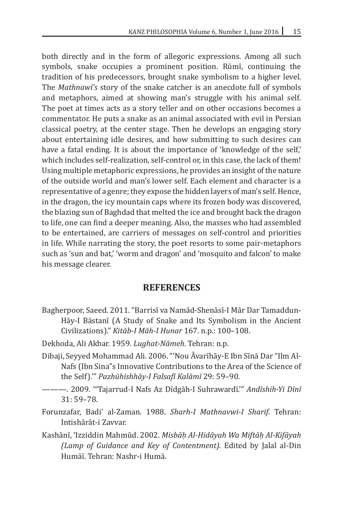both directly and in the form of allegoric expressions. Among all such symbols, snake occupies a prominent position. Rūmī, continuing the tradition of his predecessors, brought snake symbolism to a higher level. The *Mathnawī's* story of the snake catcher is an anecdote full of symbols and metaphors, aimed at showing man's struggle with his animal self. The poet at times acts as a story teller and on other occasions becomes a commentator. He puts a snake as an animal associated with evil in Persian classical poetry, at the center stage. Then he develops an engaging story about entertaining idle desires, and how submitting to such desires can have a fatal ending. It is about the importance of 'knowledge of the self,' which includes self-realization, self-control or, in this case, the lack of them! Using multiple metaphoric expressions, he provides an insight of the nature of the outside world and man's lower self. Each element and character is a representative of a genre; they expose the hidden layers of man's self. Hence, in the dragon, the icy mountain caps where its frozen body was discovered, the blazing sun of Baghdad that melted the ice and brought back the dragon to life, one can find a deeper meaning. Also, the masses who had assembled to be entertained, are carriers of messages on self-control and priorities in life. While narrating the story, the poet resorts to some pair-metaphors such as 'sun and bat,' 'worm and dragon' and 'mosquito and falcon' to make his message clearer.

#### **REFERENCES**

- Bagherpoor, Saeed. 2011. "Barrisī va Namād-Shenāsī-I Mār Dar Tamaddun-Hāy-I Bāstanī (A Study of Snake and Its Symbolism in the Ancient Civilizations)." *Kitāb-I Māh-I Hunar* 167. n.p.: 100–108.
- Dekhoda, Ali Akbar. 1959. *Lughat-Nāmeh*. Tehran: n.p.
- Dibaji, Seyyed Mohammad Ali. 2006. "'Nou Āvarīhāy-E Ibn Sīnā Dar "Ilm Al-Nafs (Ibn Sina"s Innovative Contributions to the Area of the Science of the Self).'" *Pazhūhishhāy-I Falsafī Kalāmī* 29: 59–90.
- --- 2009. "Tajarrud-I Nafs Az Dīdgāh-I Suhrawardī." Andīshih-Yi Dīnī 31: 59–78.
- Forunzafar, Badi' al-Zaman. 1988. *Sharh-I Mathnavwi-I Sharif*. Tehran: Intishārāt-i Zavvar.
- Kashānī�, 'Izziddin Mahmūd. 2002. *Misbāḥ Al-Hidāyah Wa Miftāḥ Al-Kifāyah (Lamp of Guidance and Key of Contentment).* Edited by Jalal al-Din Humāī�. Tehran: Nashr-i Humā.